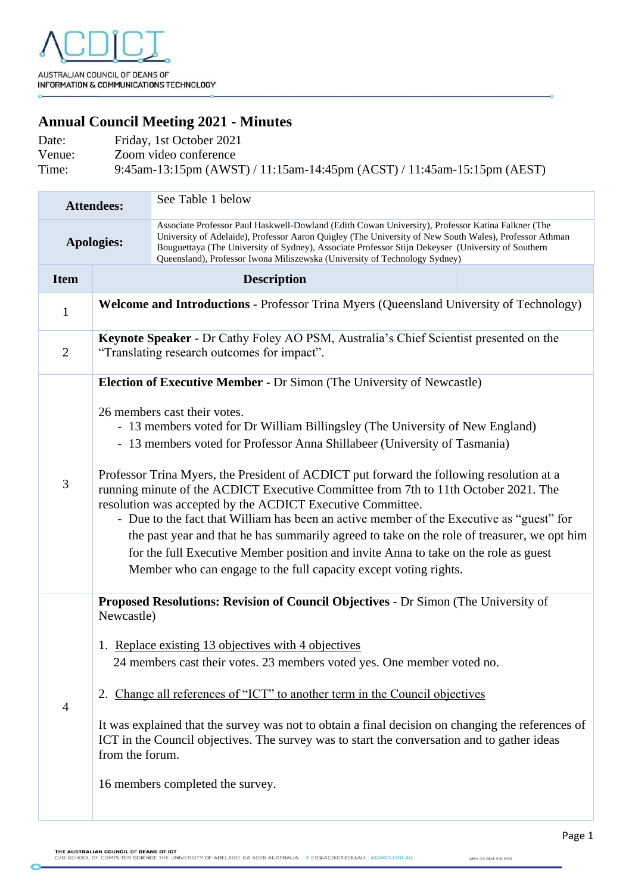## **Annual Council Meeting 2021 - Minutes**

| Date:  | Friday, 1st October 2021                                                |
|--------|-------------------------------------------------------------------------|
| Venue: | Zoom video conference                                                   |
| Time:  | 9:45am-13:15pm (AWST) / 11:15am-14:45pm (ACST) / 11:45am-15:15pm (AEST) |

| <b>Attendees:</b> |                                                                                                                                                                                                                                                                                                                                                                                                                                                                                                                                                                                                                                                                                                                                                                                                                                                                                   | See Table 1 below                                                                                                                                                                                                                                                                                                                                                                               |  |
|-------------------|-----------------------------------------------------------------------------------------------------------------------------------------------------------------------------------------------------------------------------------------------------------------------------------------------------------------------------------------------------------------------------------------------------------------------------------------------------------------------------------------------------------------------------------------------------------------------------------------------------------------------------------------------------------------------------------------------------------------------------------------------------------------------------------------------------------------------------------------------------------------------------------|-------------------------------------------------------------------------------------------------------------------------------------------------------------------------------------------------------------------------------------------------------------------------------------------------------------------------------------------------------------------------------------------------|--|
| <b>Apologies:</b> |                                                                                                                                                                                                                                                                                                                                                                                                                                                                                                                                                                                                                                                                                                                                                                                                                                                                                   | Associate Professor Paul Haskwell-Dowland (Edith Cowan University), Professor Katina Falkner (The<br>University of Adelaide), Professor Aaron Quigley (The University of New South Wales), Professor Athman<br>Bouguettaya (The University of Sydney), Associate Professor Stijn Dekeyser (University of Southern<br>Queensland), Professor Iwona Miliszewska (University of Technology Sydney) |  |
| <b>Item</b>       | <b>Description</b>                                                                                                                                                                                                                                                                                                                                                                                                                                                                                                                                                                                                                                                                                                                                                                                                                                                                |                                                                                                                                                                                                                                                                                                                                                                                                 |  |
| $\mathbf{1}$      | Welcome and Introductions - Professor Trina Myers (Queensland University of Technology)                                                                                                                                                                                                                                                                                                                                                                                                                                                                                                                                                                                                                                                                                                                                                                                           |                                                                                                                                                                                                                                                                                                                                                                                                 |  |
| $\overline{2}$    | Keynote Speaker - Dr Cathy Foley AO PSM, Australia's Chief Scientist presented on the<br>"Translating research outcomes for impact".                                                                                                                                                                                                                                                                                                                                                                                                                                                                                                                                                                                                                                                                                                                                              |                                                                                                                                                                                                                                                                                                                                                                                                 |  |
| $\mathfrak{Z}$    | <b>Election of Executive Member - Dr Simon (The University of Newcastle)</b><br>26 members cast their votes.<br>- 13 members voted for Dr William Billingsley (The University of New England)<br>- 13 members voted for Professor Anna Shillabeer (University of Tasmania)<br>Professor Trina Myers, the President of ACDICT put forward the following resolution at a<br>running minute of the ACDICT Executive Committee from 7th to 11th October 2021. The<br>resolution was accepted by the ACDICT Executive Committee.<br>- Due to the fact that William has been an active member of the Executive as "guest" for<br>the past year and that he has summarily agreed to take on the role of treasurer, we opt him<br>for the full Executive Member position and invite Anna to take on the role as guest<br>Member who can engage to the full capacity except voting rights. |                                                                                                                                                                                                                                                                                                                                                                                                 |  |
| $\overline{4}$    | Proposed Resolutions: Revision of Council Objectives - Dr Simon (The University of<br>Newcastle)<br>1. Replace existing 13 objectives with 4 objectives<br>24 members cast their votes. 23 members voted yes. One member voted no.<br>2. Change all references of "ICT" to another term in the Council objectives<br>It was explained that the survey was not to obtain a final decision on changing the references of<br>ICT in the Council objectives. The survey was to start the conversation and to gather ideas<br>from the forum.<br>16 members completed the survey.                                                                                                                                                                                                                                                                                                      |                                                                                                                                                                                                                                                                                                                                                                                                 |  |

Page 1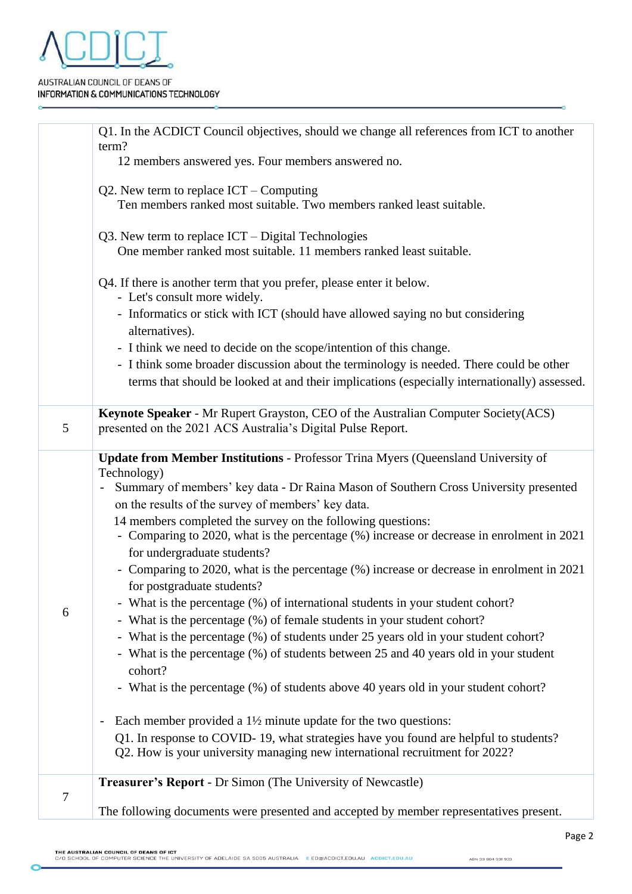

## AUSTRALIAN COUNCIL OF DEANS OF INFORMATION & COMMUNICATIONS TECHNOLOGY

|   | Q1. In the ACDICT Council objectives, should we change all references from ICT to another                                                                                                                                                                                                                                                                                                                                                                                                                                                                                                                                                                                                                                                                                                                                                                                                                                                                                                                                                                                                                                                                                                                                                                                                                              |  |  |
|---|------------------------------------------------------------------------------------------------------------------------------------------------------------------------------------------------------------------------------------------------------------------------------------------------------------------------------------------------------------------------------------------------------------------------------------------------------------------------------------------------------------------------------------------------------------------------------------------------------------------------------------------------------------------------------------------------------------------------------------------------------------------------------------------------------------------------------------------------------------------------------------------------------------------------------------------------------------------------------------------------------------------------------------------------------------------------------------------------------------------------------------------------------------------------------------------------------------------------------------------------------------------------------------------------------------------------|--|--|
|   | term?<br>12 members answered yes. Four members answered no.                                                                                                                                                                                                                                                                                                                                                                                                                                                                                                                                                                                                                                                                                                                                                                                                                                                                                                                                                                                                                                                                                                                                                                                                                                                            |  |  |
|   | Q2. New term to replace $ICT$ – Computing<br>Ten members ranked most suitable. Two members ranked least suitable.                                                                                                                                                                                                                                                                                                                                                                                                                                                                                                                                                                                                                                                                                                                                                                                                                                                                                                                                                                                                                                                                                                                                                                                                      |  |  |
|   | $Q3$ . New term to replace $ICT - Digital Technologies$<br>One member ranked most suitable. 11 members ranked least suitable.                                                                                                                                                                                                                                                                                                                                                                                                                                                                                                                                                                                                                                                                                                                                                                                                                                                                                                                                                                                                                                                                                                                                                                                          |  |  |
|   | Q4. If there is another term that you prefer, please enter it below.<br>- Let's consult more widely.                                                                                                                                                                                                                                                                                                                                                                                                                                                                                                                                                                                                                                                                                                                                                                                                                                                                                                                                                                                                                                                                                                                                                                                                                   |  |  |
|   | - Informatics or stick with ICT (should have allowed saying no but considering<br>alternatives).                                                                                                                                                                                                                                                                                                                                                                                                                                                                                                                                                                                                                                                                                                                                                                                                                                                                                                                                                                                                                                                                                                                                                                                                                       |  |  |
|   | - I think we need to decide on the scope/intention of this change.                                                                                                                                                                                                                                                                                                                                                                                                                                                                                                                                                                                                                                                                                                                                                                                                                                                                                                                                                                                                                                                                                                                                                                                                                                                     |  |  |
|   | - I think some broader discussion about the terminology is needed. There could be other<br>terms that should be looked at and their implications (especially internationally) assessed.                                                                                                                                                                                                                                                                                                                                                                                                                                                                                                                                                                                                                                                                                                                                                                                                                                                                                                                                                                                                                                                                                                                                |  |  |
| 5 | Keynote Speaker - Mr Rupert Grayston, CEO of the Australian Computer Society(ACS)<br>presented on the 2021 ACS Australia's Digital Pulse Report.                                                                                                                                                                                                                                                                                                                                                                                                                                                                                                                                                                                                                                                                                                                                                                                                                                                                                                                                                                                                                                                                                                                                                                       |  |  |
| 6 | <b>Update from Member Institutions - Professor Trina Myers (Queensland University of</b><br>Technology)<br>Summary of members' key data - Dr Raina Mason of Southern Cross University presented<br>$\equiv$<br>on the results of the survey of members' key data.<br>14 members completed the survey on the following questions:<br>- Comparing to 2020, what is the percentage (%) increase or decrease in enrolment in 2021<br>for undergraduate students?<br>- Comparing to 2020, what is the percentage (%) increase or decrease in enrolment in 2021<br>for postgraduate students?<br>- What is the percentage (%) of international students in your student cohort?<br>- What is the percentage (%) of female students in your student cohort?<br>- What is the percentage (%) of students under 25 years old in your student cohort?<br>- What is the percentage (%) of students between 25 and 40 years old in your student<br>cohort?<br>- What is the percentage (%) of students above 40 years old in your student cohort?<br>Each member provided a $1\frac{1}{2}$ minute update for the two questions:<br>$\overline{\phantom{a}}$<br>Q1. In response to COVID-19, what strategies have you found are helpful to students?<br>Q2. How is your university managing new international recruitment for 2022? |  |  |
| 7 | <b>Treasurer's Report - Dr Simon (The University of Newcastle)</b><br>The following documents were presented and accepted by member representatives present.                                                                                                                                                                                                                                                                                                                                                                                                                                                                                                                                                                                                                                                                                                                                                                                                                                                                                                                                                                                                                                                                                                                                                           |  |  |
|   |                                                                                                                                                                                                                                                                                                                                                                                                                                                                                                                                                                                                                                                                                                                                                                                                                                                                                                                                                                                                                                                                                                                                                                                                                                                                                                                        |  |  |

ABN 33 804 931 933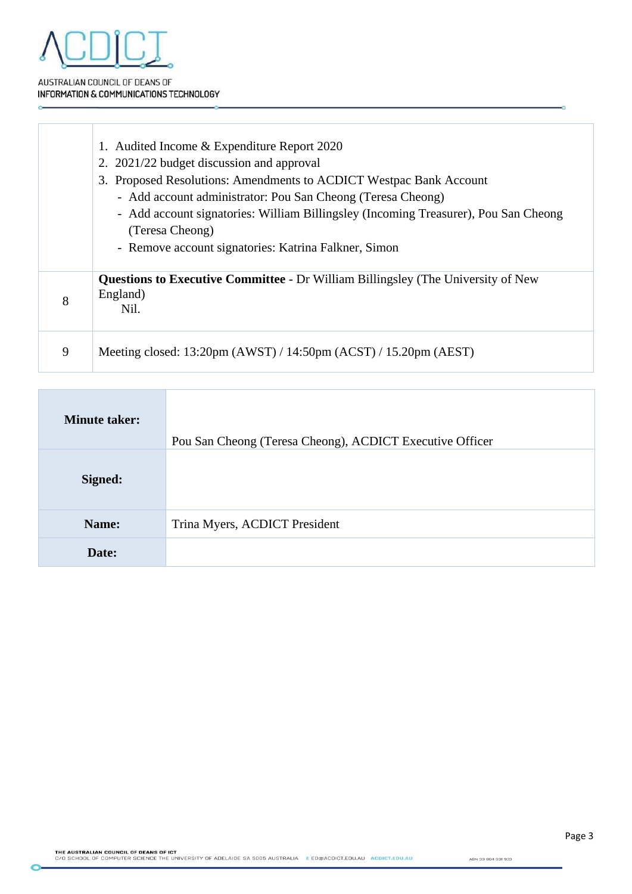

š

AUSTRALIAN COUNCIL OF DEANS OF INFORMATION & COMMUNICATIONS TECHNOLOGY

|   | 1. Audited Income & Expenditure Report 2020<br>2. 2021/22 budget discussion and approval<br>3. Proposed Resolutions: Amendments to ACDICT Westpac Bank Account<br>- Add account administrator: Pou San Cheong (Teresa Cheong)<br>- Add account signatories: William Billingsley (Incoming Treasurer), Pou San Cheong<br>(Teresa Cheong)<br>- Remove account signatories: Katrina Falkner, Simon |
|---|-------------------------------------------------------------------------------------------------------------------------------------------------------------------------------------------------------------------------------------------------------------------------------------------------------------------------------------------------------------------------------------------------|
| 8 | <b>Questions to Executive Committee - Dr William Billingsley (The University of New</b><br>England)<br>Nil.                                                                                                                                                                                                                                                                                     |
| 9 | Meeting closed: $13:20 \text{pm}$ (AWST) / $14:50 \text{pm}$ (ACST) / $15.20 \text{pm}$ (AEST)                                                                                                                                                                                                                                                                                                  |

| <b>Minute taker:</b> | Pou San Cheong (Teresa Cheong), ACDICT Executive Officer |
|----------------------|----------------------------------------------------------|
| Signed:              |                                                          |
| Name:                | Trina Myers, ACDICT President                            |
| Date:                |                                                          |

Page 3

ö